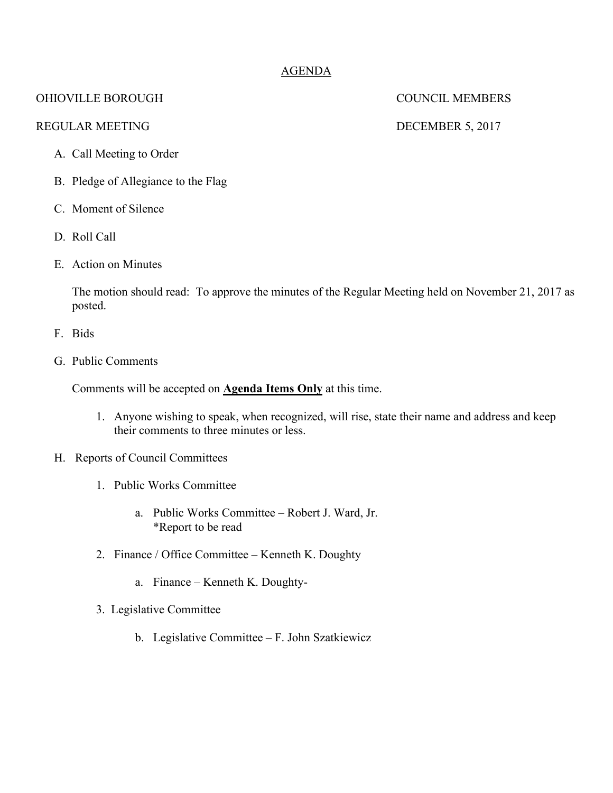### AGENDA

#### OHIOVILLE BOROUGH COUNCIL MEMBERS

#### REGULAR MEETING DECEMBER 5, 2017

#### A. Call Meeting to Order

- B. Pledge of Allegiance to the Flag
- C. Moment of Silence
- D. Roll Call
- E. Action on Minutes

The motion should read: To approve the minutes of the Regular Meeting held on November 21, 2017 as posted.

- F. Bids
- G. Public Comments

Comments will be accepted on **Agenda Items Only** at this time.

- 1. Anyone wishing to speak, when recognized, will rise, state their name and address and keep their comments to three minutes or less.
- H. Reports of Council Committees
	- 1. Public Works Committee
		- a. Public Works Committee Robert J. Ward, Jr. \*Report to be read
	- 2. Finance / Office Committee Kenneth K. Doughty
		- a. Finance Kenneth K. Doughty-
	- 3. Legislative Committee
		- b. Legislative Committee F. John Szatkiewicz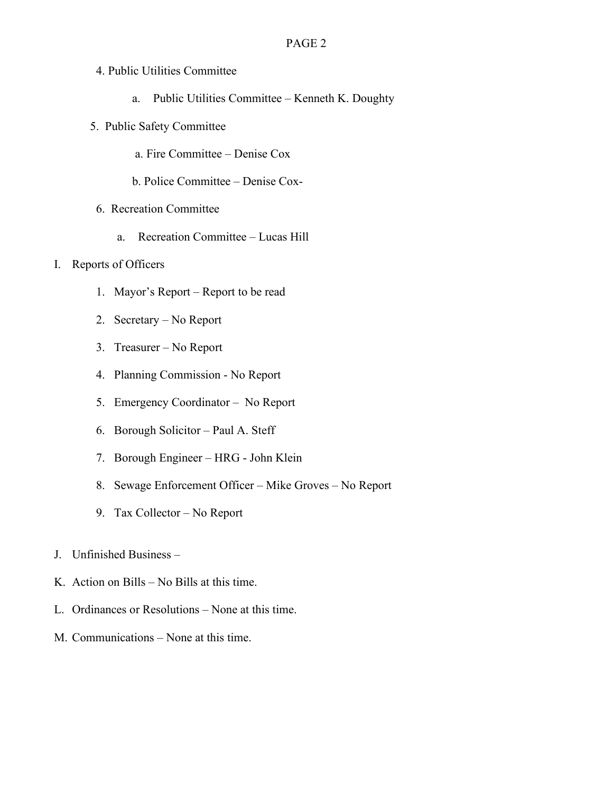- 4. Public Utilities Committee
	- a. Public Utilities Committee Kenneth K. Doughty
- 5. Public Safety Committee
	- a. Fire Committee Denise Cox
	- b. Police Committee Denise Cox-
- 6. Recreation Committee
	- a. Recreation Committee Lucas Hill
- I. Reports of Officers
	- 1. Mayor's Report Report to be read
	- 2. Secretary No Report
	- 3. Treasurer No Report
	- 4. Planning Commission No Report
	- 5. Emergency Coordinator No Report
	- 6. Borough Solicitor Paul A. Steff
	- 7. Borough Engineer HRG John Klein
	- 8. Sewage Enforcement Officer Mike Groves No Report
	- 9. Tax Collector No Report
- J. Unfinished Business –
- K. Action on Bills No Bills at this time.
- L. Ordinances or Resolutions None at this time.
- M. Communications None at this time.